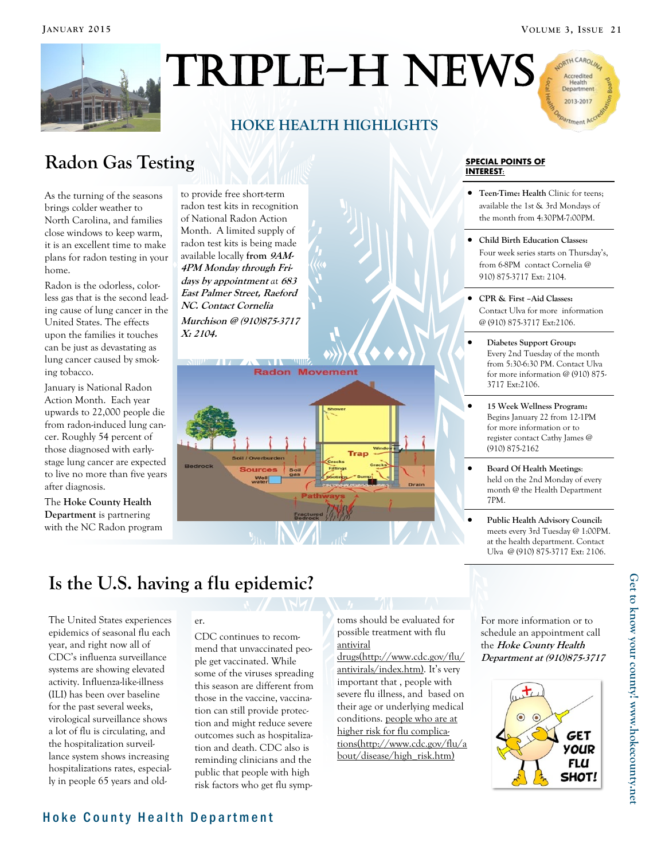ARTH CAROLA Accredited Health<br>Department 2013-2017 Timent



# Triple-H News

### **HOKE HEALTH HIGHLIGHTS**

Radon Gas Testing **SPECIAL POINTS OF A SPECIAL POINTS OF** 

As the turning of the seasons brings colder weather to North Carolina, and families close windows to keep warm, it is an excellent time to make plans for radon testing in your home.

Radon is the odorless, colorless gas that is the second leading cause of lung cancer in the United States. The effects upon the families it touches can be just as devastating as lung cancer caused by smoking tobacco.

January is National Radon Action Month. Each year upwards to 22,000 people die from radon-induced lung cancer. Roughly 54 percent of those diagnosed with earlystage lung cancer are expected to live no more than five years after diagnosis.

The **Hoke County Health Department** is partnering with the NC Radon program to provide free short-term radon test kits in recognition of National Radon Action Month. A limited supply of radon test kits is being made available locally **from 9AM-4PM Monday through Fridays by appointment** *at* **<sup>683</sup> East Palmer Street, Raeford NC. Contact Cornelia Murchison @ (910)875-3717 X: 2104.**

soil / Overby

**Radon Movement** 

## **INTEREST:**

- **Teen-Time: Health** Clinic for teens; available the 1st & 3rd Mondays of the month from 4:30PM-7:00PM.
- **Child Birth Education Classes:**  Four week series starts on Thursday's, from 6-8PM contact Cornelia @ 910) 875-3717 Ext: 2104.
- **CPR & First –Aid Classes:**  Contact Ulva for more information @ (910) 875-3717 Ext:2106.
- **Diabetes Support Group:**  Every 2nd Tuesday of the month from 5:30-6:30 PM. Contact Ulva for more information @ (910) 875- 3717 Ext:2106.
- **15 Week Wellness Program:** Begins January 22 from 12-1PM for more information or to register contact Cathy James @ (910) 875-2162
- **Board Of Health Meetings**: held on the 2nd Monday of every month @ the Health Department 7PM.
- **Public Health Advisory Council:**  meets every 3rd Tuesday @ 1:00PM. at the health department. Contact Ulva @ (910) 875-3717 Ext: 2106.

## **Is the U.S. having a flu epidemic?**

The United States experiences epidemics of seasonal flu each year, and right now all of CDC's influenza surveillance systems are showing elevated activity. Influenza-like-illness (ILI) has been over baseline for the past several weeks, virological surveillance shows a lot of flu is circulating, and the hospitalization surveillance system shows increasing hospitalizations rates, especially in people 65 years and old-

#### er.

CDC continues to recommend that unvaccinated people get vaccinated. While some of the viruses spreading this season are different from those in the vaccine, vaccination can still provide protection and might reduce severe outcomes such as hospitalization and death. CDC also is reminding clinicians and the public that people with high risk factors who get flu symptoms should be evaluated for possible treatment with flu [antiviral](http://www.cdc.gov/flu/antivirals/index.htm) 

[drugs\(http://www.cdc.gov/flu/](http://www.cdc.gov/flu/antivirals/index.htm) [antivirals/index.htm\)](http://www.cdc.gov/flu/antivirals/index.htm). It's very important that , people with severe flu illness, and based on their age or underlying medical conditions. [people who are at](http://www.cdc.gov/flu/about/disease/high_risk.htm)  [higher risk for flu complica](http://www.cdc.gov/flu/about/disease/high_risk.htm)[tions\(http://www.cdc.gov/flu/a](http://www.cdc.gov/flu/about/disease/high_risk.htm) [bout/disease/high\\_risk.htm\)](http://www.cdc.gov/flu/about/disease/high_risk.htm)

For more information or to schedule an appointment call the **Hoke County Health Department at (910)875-3717**